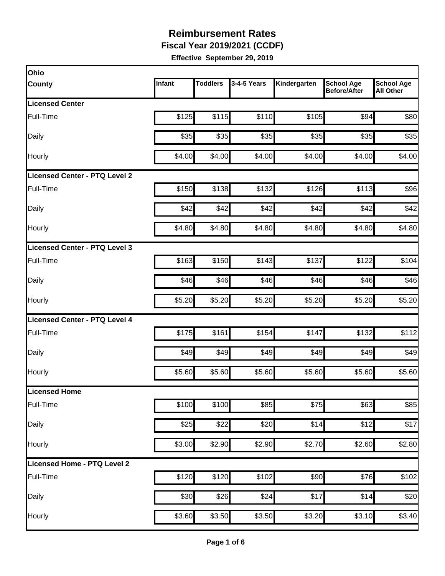**Fiscal Year 2019/2021 (CCDF)**

| Ohio                                 |        |                 |             |              |                                          |                                       |
|--------------------------------------|--------|-----------------|-------------|--------------|------------------------------------------|---------------------------------------|
| <b>County</b>                        | Infant | <b>Toddlers</b> | 3-4-5 Years | Kindergarten | <b>School Age</b><br><b>Before/After</b> | <b>School Age</b><br><b>All Other</b> |
| <b>Licensed Center</b>               |        |                 |             |              |                                          |                                       |
| Full-Time                            | \$125  | \$115           | \$110       | \$105        | \$94                                     | \$80                                  |
| Daily                                | \$35   | \$35            | \$35        | \$35         | \$35                                     | \$35                                  |
| Hourly                               | \$4.00 | \$4.00          | \$4.00      | \$4.00       | \$4.00                                   | \$4.00                                |
| <b>Licensed Center - PTQ Level 2</b> |        |                 |             |              |                                          |                                       |
| Full-Time                            | \$150  | \$138           | \$132       | \$126        | \$113                                    | \$96                                  |
| Daily                                | \$42   | \$42            | \$42        | \$42         | \$42                                     | \$42                                  |
| Hourly                               | \$4.80 | \$4.80          | \$4.80      | \$4.80       | \$4.80                                   | \$4.80                                |
| Licensed Center - PTQ Level 3        |        |                 |             |              |                                          |                                       |
| Full-Time                            | \$163  | \$150           | \$143       | \$137        | \$122                                    | \$104                                 |
| Daily                                | \$46   | \$46            | \$46        | \$46         | \$46                                     | \$46                                  |
| Hourly                               | \$5.20 | \$5.20          | \$5.20      | \$5.20       | \$5.20                                   | \$5.20                                |
| <b>Licensed Center - PTQ Level 4</b> |        |                 |             |              |                                          |                                       |
| Full-Time                            | \$175  | \$161           | \$154       | \$147        | \$132                                    | \$112                                 |
| Daily                                | \$49   | \$49            | \$49        | \$49         | \$49                                     | \$49                                  |
| Hourly                               | \$5.60 | \$5.60          | \$5.60      | \$5.60       | \$5.60                                   | \$5.60                                |
| Licensed Home                        |        |                 |             |              |                                          |                                       |
| Full-Time                            | \$100  | \$100           | \$85        | \$75         | \$63                                     | \$85                                  |
| Daily                                | \$25   | \$22            | \$20        | \$14         | \$12                                     | \$17                                  |
| Hourly                               | \$3.00 | \$2.90          | \$2.90      | \$2.70       | \$2.60                                   | \$2.80                                |
| Licensed Home - PTQ Level 2          |        |                 |             |              |                                          |                                       |
| Full-Time                            | \$120  | \$120           | \$102       | \$90         | \$76                                     | \$102                                 |
| Daily                                | \$30   | \$26            | \$24        | \$17         | \$14                                     | \$20                                  |
| Hourly                               | \$3.60 | \$3.50          | \$3.50      | \$3.20       | \$3.10                                   | \$3.40                                |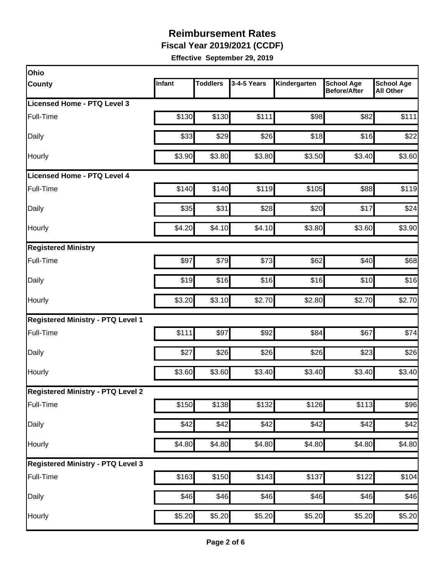**Fiscal Year 2019/2021 (CCDF)**

| Infant | <b>Toddlers</b> | 3-4-5 Years                                 | Kindergarten                                                                     | <b>School Age</b><br><b>Before/After</b> | <b>School Age</b><br><b>All Other</b>                                                                                                                                                                                                  |
|--------|-----------------|---------------------------------------------|----------------------------------------------------------------------------------|------------------------------------------|----------------------------------------------------------------------------------------------------------------------------------------------------------------------------------------------------------------------------------------|
|        |                 |                                             |                                                                                  |                                          |                                                                                                                                                                                                                                        |
| \$130  | \$130           | \$111                                       |                                                                                  | \$82                                     | \$111                                                                                                                                                                                                                                  |
| \$33   | \$29            | \$26                                        |                                                                                  |                                          | \$22                                                                                                                                                                                                                                   |
| \$3.90 | \$3.80          | \$3.80                                      |                                                                                  |                                          | \$3.60                                                                                                                                                                                                                                 |
|        |                 |                                             |                                                                                  |                                          |                                                                                                                                                                                                                                        |
|        |                 | \$119                                       |                                                                                  | \$88                                     | \$119                                                                                                                                                                                                                                  |
| \$35   | \$31            | \$28                                        |                                                                                  | \$17                                     | \$24                                                                                                                                                                                                                                   |
| \$4.20 |                 | \$4.10                                      |                                                                                  |                                          | \$3.90                                                                                                                                                                                                                                 |
|        |                 |                                             |                                                                                  |                                          |                                                                                                                                                                                                                                        |
| \$97   | \$79            | \$73                                        | \$62                                                                             | \$40                                     | \$68                                                                                                                                                                                                                                   |
| \$19   |                 | \$16                                        |                                                                                  | \$10                                     | \$16                                                                                                                                                                                                                                   |
| \$3.20 | \$3.10          | \$2.70                                      |                                                                                  | \$2.70                                   | \$2.70                                                                                                                                                                                                                                 |
|        |                 |                                             |                                                                                  |                                          |                                                                                                                                                                                                                                        |
| \$111  | \$97            | \$92                                        | \$84                                                                             | \$67                                     | \$74                                                                                                                                                                                                                                   |
| \$27   | \$26            | \$26                                        | \$26                                                                             | \$23                                     | \$26                                                                                                                                                                                                                                   |
| \$3.60 |                 | \$3.40                                      |                                                                                  |                                          | \$3.40                                                                                                                                                                                                                                 |
|        |                 |                                             |                                                                                  |                                          |                                                                                                                                                                                                                                        |
|        |                 | \$132                                       |                                                                                  |                                          | \$96                                                                                                                                                                                                                                   |
| \$42   |                 | \$42                                        |                                                                                  | \$42                                     | \$42                                                                                                                                                                                                                                   |
|        |                 | \$4.80                                      |                                                                                  |                                          | \$4.80                                                                                                                                                                                                                                 |
|        |                 |                                             |                                                                                  |                                          |                                                                                                                                                                                                                                        |
|        |                 |                                             |                                                                                  | \$122                                    | \$104                                                                                                                                                                                                                                  |
| \$46   | \$46            | \$46                                        |                                                                                  |                                          | \$46                                                                                                                                                                                                                                   |
|        |                 |                                             |                                                                                  |                                          | \$5.20                                                                                                                                                                                                                                 |
|        |                 | \$140<br>\$150<br>\$4.80<br>\$163<br>\$5.20 | \$140<br>\$4.10<br>\$16<br>\$3.60<br>\$138<br>\$42]<br>\$4.80<br>\$150<br>\$5.20 | \$143<br>\$5.20                          | \$98<br>\$16<br>\$18<br>\$3.50<br>\$3.40<br>\$105<br>\$20<br>\$3.80<br>\$3.60<br>\$16<br>\$2.80<br>\$3.40<br>\$3.40<br>\$126<br>$\overline{$}113$<br>\$42<br>\$4.80<br>\$4.80<br>\$137<br>\$46<br>\$46<br>$\overline{$}5.20$<br>\$5.20 |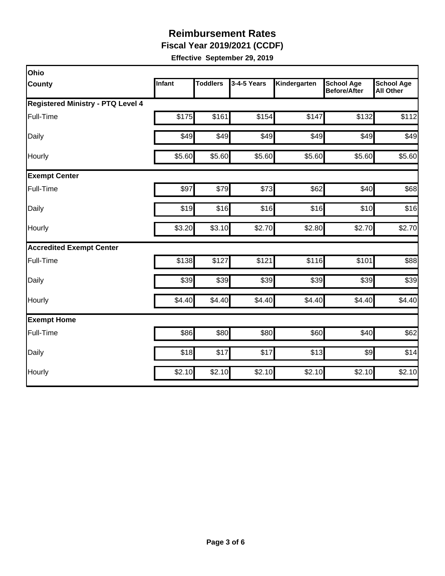**Fiscal Year 2019/2021 (CCDF)**

| Ohio                                     |        |                 |             |              |                                          |                                       |
|------------------------------------------|--------|-----------------|-------------|--------------|------------------------------------------|---------------------------------------|
| <b>County</b>                            | Infant | <b>Toddlers</b> | 3-4-5 Years | Kindergarten | <b>School Age</b><br><b>Before/After</b> | <b>School Age</b><br><b>All Other</b> |
| <b>Registered Ministry - PTQ Level 4</b> |        |                 |             |              |                                          |                                       |
| Full-Time                                | \$175  | \$161           | \$154       | \$147        | \$132                                    | \$112                                 |
| Daily                                    | \$49   | \$49            | \$49        | \$49         | \$49                                     | \$49                                  |
| Hourly                                   | \$5.60 | \$5.60          | \$5.60      | \$5.60       | \$5.60                                   | \$5.60                                |
| <b>Exempt Center</b>                     |        |                 |             |              |                                          |                                       |
| Full-Time                                | \$97   | \$79            | \$73        | \$62         | \$40                                     | \$68                                  |
| Daily                                    | \$19   | \$16            | \$16        | \$16         | \$10                                     | \$16                                  |
| Hourly                                   | \$3.20 | \$3.10          | \$2.70      | \$2.80       | \$2.70                                   | \$2.70                                |
| <b>Accredited Exempt Center</b>          |        |                 |             |              |                                          |                                       |
| Full-Time                                | \$138  | \$127           | \$121       | \$116        | \$101                                    | \$88                                  |
| Daily                                    | \$39   | \$39            | \$39        | \$39         | \$39                                     | \$39                                  |
| Hourly                                   | \$4.40 | \$4.40          | \$4.40      | \$4.40       | \$4.40                                   | \$4.40                                |
| <b>Exempt Home</b>                       |        |                 |             |              |                                          |                                       |
| Full-Time                                | \$86   | \$80            | \$80        | \$60         | \$40                                     | \$62                                  |
| Daily                                    | \$18   | \$17            | \$17        | \$13         | $\frac{1}{2}$                            | \$14                                  |
| Hourly                                   | \$2.10 | \$2.10          | \$2.10      | \$2.10       | \$2.10                                   | \$2.10                                |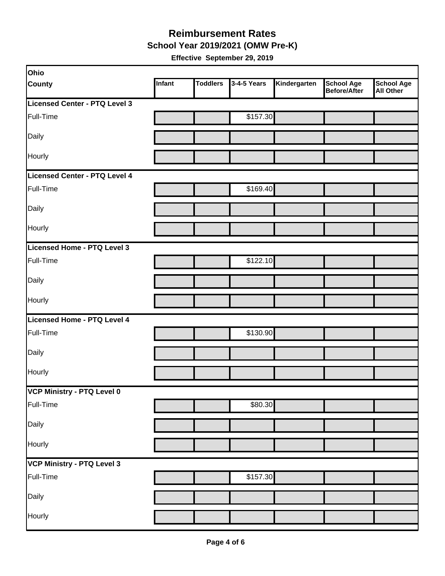**School Year 2019/2021 (OMW Pre-K)**

| Ohio                          |        |                 |             |              |                                   |                                       |
|-------------------------------|--------|-----------------|-------------|--------------|-----------------------------------|---------------------------------------|
| <b>County</b>                 | Infant | <b>Toddlers</b> | 3-4-5 Years | Kindergarten | <b>School Age</b><br>Before/After | <b>School Age</b><br><b>All Other</b> |
| Licensed Center - PTQ Level 3 |        |                 |             |              |                                   |                                       |
| Full-Time                     |        |                 | \$157.30    |              |                                   |                                       |
| Daily                         |        |                 |             |              |                                   |                                       |
| Hourly                        |        |                 |             |              |                                   |                                       |
| Licensed Center - PTQ Level 4 |        |                 |             |              |                                   |                                       |
| Full-Time                     |        |                 | \$169.40    |              |                                   |                                       |
| Daily                         |        |                 |             |              |                                   |                                       |
| Hourly                        |        |                 |             |              |                                   |                                       |
| Licensed Home - PTQ Level 3   |        |                 |             |              |                                   |                                       |
| Full-Time                     |        |                 | \$122.10    |              |                                   |                                       |
| Daily                         |        |                 |             |              |                                   |                                       |
| Hourly                        |        |                 |             |              |                                   |                                       |
| Licensed Home - PTQ Level 4   |        |                 |             |              |                                   |                                       |
| Full-Time                     |        |                 | \$130.90    |              |                                   |                                       |
| Daily                         |        |                 |             |              |                                   |                                       |
| Hourly                        |        |                 |             |              |                                   |                                       |
| VCP Ministry - PTQ Level 0    |        |                 |             |              |                                   |                                       |
| Full-Time                     |        |                 | \$80.30     |              |                                   |                                       |
| Daily                         |        |                 |             |              |                                   |                                       |
| Hourly                        |        |                 |             |              |                                   |                                       |
| VCP Ministry - PTQ Level 3    |        |                 |             |              |                                   |                                       |
| Full-Time                     |        |                 | \$157.30    |              |                                   |                                       |
| Daily                         |        |                 |             |              |                                   |                                       |
| Hourly                        |        |                 |             |              |                                   |                                       |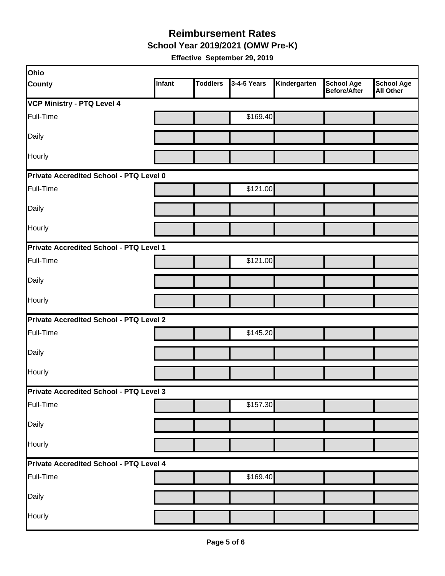**School Year 2019/2021 (OMW Pre-K)**

| Ohio                                    |               |                 |             |              |                                          |                                       |  |  |  |
|-----------------------------------------|---------------|-----------------|-------------|--------------|------------------------------------------|---------------------------------------|--|--|--|
| <b>County</b>                           | <b>Infant</b> | <b>Toddlers</b> | 3-4-5 Years | Kindergarten | <b>School Age</b><br><b>Before/After</b> | <b>School Age</b><br><b>All Other</b> |  |  |  |
| <b>VCP Ministry - PTQ Level 4</b>       |               |                 |             |              |                                          |                                       |  |  |  |
| Full-Time                               |               |                 | \$169.40    |              |                                          |                                       |  |  |  |
| Daily                                   |               |                 |             |              |                                          |                                       |  |  |  |
| Hourly                                  |               |                 |             |              |                                          |                                       |  |  |  |
| Private Accredited School - PTQ Level 0 |               |                 |             |              |                                          |                                       |  |  |  |
| Full-Time                               |               |                 | \$121.00    |              |                                          |                                       |  |  |  |
| Daily                                   |               |                 |             |              |                                          |                                       |  |  |  |
| Hourly                                  |               |                 |             |              |                                          |                                       |  |  |  |
| Private Accredited School - PTQ Level 1 |               |                 |             |              |                                          |                                       |  |  |  |
| Full-Time                               |               |                 | \$121.00    |              |                                          |                                       |  |  |  |
| Daily                                   |               |                 |             |              |                                          |                                       |  |  |  |
| Hourly                                  |               |                 |             |              |                                          |                                       |  |  |  |
| Private Accredited School - PTQ Level 2 |               |                 |             |              |                                          |                                       |  |  |  |
| Full-Time                               |               |                 | \$145.20    |              |                                          |                                       |  |  |  |
| Daily                                   |               |                 |             |              |                                          |                                       |  |  |  |
| Hourly                                  |               |                 |             |              |                                          |                                       |  |  |  |
| Private Accredited School - PTQ Level 3 |               |                 |             |              |                                          |                                       |  |  |  |
| Full-Time                               |               |                 | \$157.30    |              |                                          |                                       |  |  |  |
| Daily                                   |               |                 |             |              |                                          |                                       |  |  |  |
| Hourly                                  |               |                 |             |              |                                          |                                       |  |  |  |
| Private Accredited School - PTQ Level 4 |               |                 |             |              |                                          |                                       |  |  |  |
| Full-Time                               |               |                 | \$169.40    |              |                                          |                                       |  |  |  |
| Daily                                   |               |                 |             |              |                                          |                                       |  |  |  |
| Hourly                                  |               |                 |             |              |                                          |                                       |  |  |  |